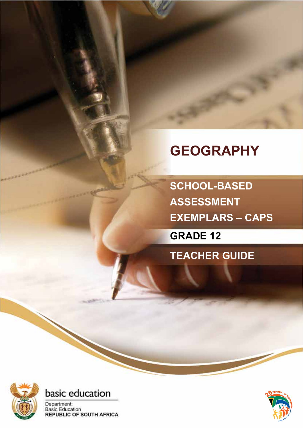# **GEOGRAPHY**

**SCHOOL-BASED ASSESSMENT EXEMPLARS – CAPS**

**GRADE 12**

**TEACHER GUIDE**





Department: **Basic Education REPUBLIC OF SOUTH AFRICA** 

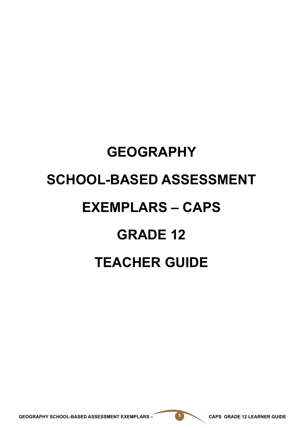# **GEOGRAPHY SCHOOL-BASED ASSESSMENT EXEMPLARS – CAPS GRADE 12 TEACHER GUIDE**

GEOGRAPHY SCHOOL-BASED ASSESSMENT EXEMPLARS – **1 CAPS GRADE 12 LEARNER GUIDE**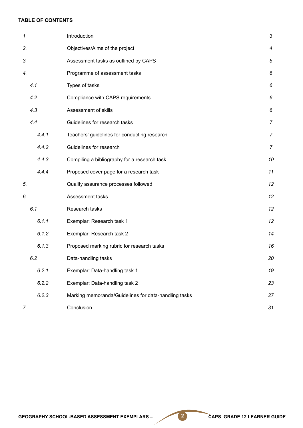#### **TABLE OF CONTENTS**

| 1. |       | Introduction                                         | $\mathfrak{Z}$   |
|----|-------|------------------------------------------------------|------------------|
| 2. |       | Objectives/Aims of the project                       | $\boldsymbol{4}$ |
| 3. |       | Assessment tasks as outlined by CAPS                 | 5                |
| 4. |       | Programme of assessment tasks                        | 6                |
|    | 4.1   | Types of tasks                                       | 6                |
|    | 4.2   | Compliance with CAPS requirements                    | 6                |
|    | 4.3   | Assessment of skills                                 | 6                |
|    | 4.4   | Guidelines for research tasks                        | $\overline{7}$   |
|    | 4.4.1 | Teachers' guidelines for conducting research         | $\overline{7}$   |
|    | 4.4.2 | Guidelines for research                              | $\overline{7}$   |
|    | 4.4.3 | Compiling a bibliography for a research task         | 10               |
|    | 4.4.4 | Proposed cover page for a research task              | 11               |
| 5. |       | Quality assurance processes followed                 | 12               |
| 6. |       | Assessment tasks                                     | 12               |
|    | 6.1   | Research tasks                                       | 12               |
|    | 6.1.1 | Exemplar: Research task 1                            | 12               |
|    | 6.1.2 | Exemplar: Research task 2                            | 14               |
|    | 6.1.3 | Proposed marking rubric for research tasks           | 16               |
|    | 6.2   | Data-handling tasks                                  | 20               |
|    | 6.2.1 | Exemplar: Data-handling task 1                       | 19               |
|    | 6.2.2 | Exemplar: Data-handling task 2                       | 23               |
|    | 6.2.3 | Marking memoranda/Guidelines for data-handling tasks | 27               |
| 7. |       | Conclusion                                           | 31               |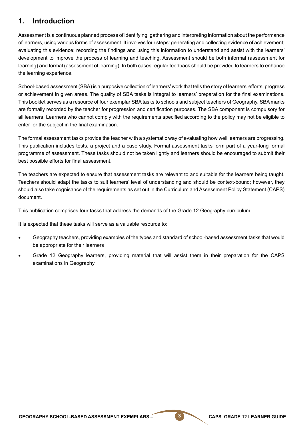# **1. Introduction**

Assessment is a continuous planned process of identifying, gathering and interpreting information about the performance of learners, using various forms of assessment. It involves four steps: generating and collecting evidence of achievement; evaluating this evidence; recording the findings and using this information to understand and assist with the learners' development to improve the process of learning and teaching. Assessment should be both informal (assessment for learning) and formal (assessment of learning). In both cases regular feedback should be provided to learners to enhance the learning experience.

School-based assessment (SBA) is a purposive collection of learners' work that tells the story of learners' efforts, progress or achievement in given areas. The quality of SBA tasks is integral to learners' preparation for the final examinations. This booklet serves as a resource of four exemplar SBA tasks to schools and subject teachers of Geography. SBA marks are formally recorded by the teacher for progression and certification purposes. The SBA component is compulsory for all learners. Learners who cannot comply with the requirements specified according to the policy may not be eligible to enter for the subject in the final examination.

The formal assessment tasks provide the teacher with a systematic way of evaluating how well learners are progressing. This publication includes tests, a project and a case study. Formal assessment tasks form part of a year-long formal programme of assessment. These tasks should not be taken lightly and learners should be encouraged to submit their best possible efforts for final assessment.

The teachers are expected to ensure that assessment tasks are relevant to and suitable for the learners being taught. Teachers should adapt the tasks to suit learners' level of understanding and should be context-bound; however, they should also take cognisance of the requirements as set out in the Curriculum and Assessment Policy Statement (CAPS) document.

This publication comprises four tasks that address the demands of the Grade 12 Geography curriculum.

It is expected that these tasks will serve as a valuable resource to:

- Geography teachers, providing examples of the types and standard of school-based assessment tasks that would be appropriate for their learners
- Grade 12 Geography learners, providing material that will assist them in their preparation for the CAPS examinations in Geography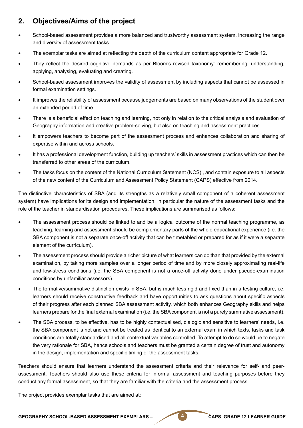# **2. Objectives/Aims of the project**

- School-based assessment provides a more balanced and trustworthy assessment system, increasing the range and diversity of assessment tasks.
- The exemplar tasks are aimed at reflecting the depth of the curriculum content appropriate for Grade 12.
- They reflect the desired cognitive demands as per Bloom's revised taxonomy: remembering, understanding, applying, analysing, evaluating and creating.
- School-based assessment improves the validity of assessment by including aspects that cannot be assessed in formal examination settings.
- It improves the reliability of assessment because judgements are based on many observations of the student over an extended period of time.
- There is a beneficial effect on teaching and learning, not only in relation to the critical analysis and evaluation of Geography information and creative problem-solving, but also on teaching and assessment practices.
- It empowers teachers to become part of the assessment process and enhances collaboration and sharing of expertise within and across schools.
- It has a professional development function, building up teachers' skills in assessment practices which can then be transferred to other areas of the curriculum.
- The tasks focus on the content of the National Curriculum Statement (NCS), and contain exposure to all aspects of the new content of the Curriculum and Assessment Policy Statement (CAPS) effective from 2014.

The distinctive characteristics of SBA (and its strengths as a relatively small component of a coherent assessment system) have implications for its design and implementation, in particular the nature of the assessment tasks and the role of the teacher in standardisation procedures. These implications are summarised as follows:

- The assessment process should be linked to and be a logical outcome of the normal teaching programme, as teaching, learning and assessment should be complementary parts of the whole educational experience (i.e. the SBA component is not a separate once-off activity that can be timetabled or prepared for as if it were a separate element of the curriculum).
- The assessment process should provide a richer picture of what learners can do than that provided by the external examination, by taking more samples over a longer period of time and by more closely approximating real-life and low-stress conditions (i.e. the SBA component is not a once-off activity done under pseudo-examination conditions by unfamiliar assessors).
- The formative/summative distinction exists in SBA, but is much less rigid and fixed than in a testing culture, i.e. learners should receive constructive feedback and have opportunities to ask questions about specific aspects of their progress after each planned SBA assessment activity, which both enhances Geography skills and helps learners prepare for the final external examination (i.e. the SBA component is not a purely summative assessment).
- The SBA process, to be effective, has to be highly contextualised, dialogic and sensitive to learners' needs, i.e. the SBA component is not and cannot be treated as identical to an external exam in which texts, tasks and task conditions are totally standardised and all contextual variables controlled. To attempt to do so would be to negate the very rationale for SBA, hence schools and teachers must be granted a certain degree of trust and autonomy in the design, implementation and specific timing of the assessment tasks.

Teachers should ensure that learners understand the assessment criteria and their relevance for self- and peerassessment. Teachers should also use these criteria for informal assessment and teaching purposes before they conduct any formal assessment, so that they are familiar with the criteria and the assessment process.

The project provides exemplar tasks that are aimed at:

GEOGRAPHY SCHOOL-BASED ASSESSMENT EXEMPLARS – **4 CAPS GRADE 12 LEARNER GUIDE**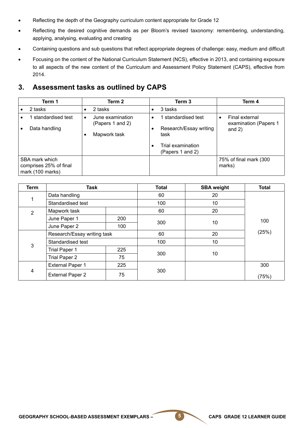- Reflecting the depth of the Geography curriculum content appropriate for Grade 12
- Reflecting the desired cognitive demands as per Bloom's revised taxonomy: remembering, understanding, applying, analysing, evaluating and creating
- Containing questions and sub questions that reflect appropriate degrees of challenge: easy, medium and difficult
- Focusing on the content of the National Curriculum Statement (NCS), effective in 2013, and containing exposure to all aspects of the new content of the Curriculum and Assessment Policy Statement (CAPS), effective from 2014.

# **3. Assessment tasks as outlined by CAPS**

| Term 1                                                       | Term 2                                                            | Term 3                                                                                             | Term 4                                              |
|--------------------------------------------------------------|-------------------------------------------------------------------|----------------------------------------------------------------------------------------------------|-----------------------------------------------------|
| 2 tasks                                                      | 2 tasks                                                           | 3 tasks<br>٠                                                                                       |                                                     |
| standardised test<br>Data handling                           | June examination<br>$\bullet$<br>(Papers 1 and 2)<br>Mapwork task | standardised test<br>$\bullet$<br>Research/Essay writing<br>$\bullet$<br>task<br>Trial examination | Final external<br>examination (Papers 1<br>and $2)$ |
| SBA mark which<br>comprises 25% of final<br>mark (100 marks) |                                                                   | (Papers 1 and 2)                                                                                   | 75% of final mark (300<br>marks)                    |

| Term | <b>Task</b>                 |     | <b>Total</b> | <b>SBA weight</b> | <b>Total</b> |
|------|-----------------------------|-----|--------------|-------------------|--------------|
|      | Data handling               |     | 60           | 20                |              |
|      | Standardised test           |     | 100          | 10                |              |
| 2    | Mapwork task                |     | 60           | 20                |              |
|      | June Paper 1                | 200 | 300          | 10                | 100          |
|      | June Paper 2<br>100         |     |              |                   |              |
|      | Research/Essay writing task |     | 60           | 20                | (25%)        |
| 3    | Standardised test           |     | 100          | 10                |              |
|      | Trial Paper 1               | 225 | 300          | 10                |              |
|      | <b>Trial Paper 2</b>        | 75  |              |                   |              |
|      | <b>External Paper 1</b>     | 225 |              |                   | 300          |
| 4    | <b>External Paper 2</b>     | 75  | 300          |                   | (75%)        |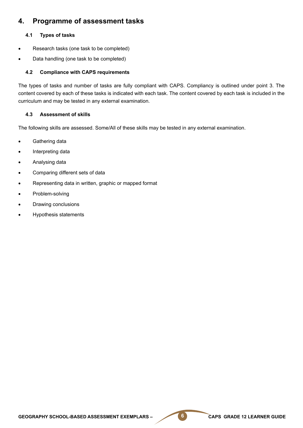## **4. Programme of assessment tasks**

#### **4.1 Types of tasks**

- Research tasks (one task to be completed)
- Data handling (one task to be completed)

#### **4.2 Compliance with CAPS requirements**

The types of tasks and number of tasks are fully compliant with CAPS. Compliancy is outlined under point 3. The content covered by each of these tasks is indicated with each task. The content covered by each task is included in the curriculum and may be tested in any external examination.

#### **4.3 Assessment of skills**

The following skills are assessed. Some/All of these skills may be tested in any external examination.

- Gathering data
- Interpreting data
- Analysing data
- Comparing different sets of data
- Representing data in written, graphic or mapped format
- Problem-solving
- Drawing conclusions
- • Hypothesis statements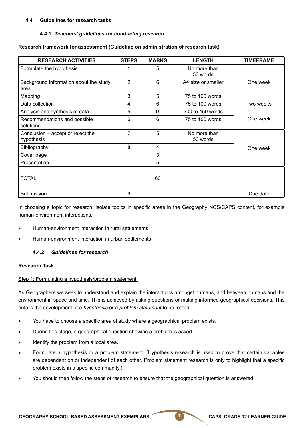#### **4.4 Guidelines for research tasks**

#### **4.4.1** *Teachers' guidelines for conducting research*

#### **Research framework for assessment (Guideline on administration of research task)**

| <b>RESEARCH ACTIVITIES</b>                      | <b>STEPS</b>        | <b>MARKS</b> | <b>LENGTH</b>            | <b>TIMEFRAME</b> |  |
|-------------------------------------------------|---------------------|--------------|--------------------------|------------------|--|
| Formulate the hypothesis                        | 1                   | 5            | No more than<br>50 words |                  |  |
| Background information about the study<br>area  | $\overline{2}$<br>6 |              | A4 size or smaller       | One week         |  |
| Mapping                                         | 3                   | 5            | 75 to 100 words          |                  |  |
| Data collection                                 | 4                   | 6            | 75 to 100 words          | Two weeks        |  |
| Analysis and synthesis of data                  | 5                   | 15           | 300 to 450 words         |                  |  |
| Recommendations and possible<br>solutions       | 6                   | 6            | 75 to 100 words          | One week         |  |
| Conclusion – accept or reject the<br>hypothesis | $\overline{7}$      | 5            | No more than<br>50 words |                  |  |
| Bibliography                                    | 8                   | 4            |                          | One week         |  |
| Cover page                                      |                     | 3            |                          |                  |  |
| Presentation                                    |                     | 5            |                          |                  |  |
| <b>TOTAL</b>                                    |                     | 60           |                          |                  |  |
| Submission                                      | 9                   |              |                          | Due date         |  |

In choosing a topic for research, isolate topics in specific areas in the Geography NCS/CAPS content, for example human-environment interactions.

- Human-environment interaction in rural settlements
- Human-environment interaction in urban settlements

#### **4.4.2** *Guidelines for research*

#### **Research Task**

#### Step 1: Formulating a hypothesis/problem statement

As Geographers we seek to understand and explain the interactions amongst humans, and between humans and the environment in space and time. This is achieved by asking questions or making informed geographical decisions. This entails the development of a *hypothesis* or a *problem statement* to be tested.

- You have to choose a specific area of study where a geographical problem exists.
- During this stage, a geographical question showing a problem is asked.
- Identify the problem from a local area.
- Formulate a hypothesis or a problem statement. (Hypothesis research is used to prove that certain variables are dependent on or independent of each other. Problem statement research is only to highlight that a specific problem exists in a specific community.)
- You should then follow the steps of research to ensure that the geographical question is answered.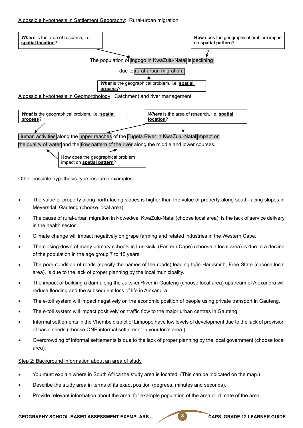#### A possible hypothesis in Settlement Geography: Rural-urban migration



Other possible hypothesis-type research examples:

- The value of property along north-facing slopes is higher than the value of property along south-facing slopes in Meyersdal, Gauteng (choose local area).
- The cause of rural-urban migration in Ndwedwe, KwaZulu-Natal (choose local area), is the lack of service delivery in the health sector.
- Climate change will impact negatively on grape farming and related industries in the Western Cape.
- The closing down of many primary schools in Lusikisiki (Eastern Cape) (choose a local area) is due to a decline of the population in the age group 7 to 15 years.
- The poor condition of roads (specify the names of the roads) leading to/in Harrismith, Free State (choose local area), is due to the lack of proper planning by the local municipality.
- The impact of building a dam along the Jukskei River in Gauteng (choose local area) upstream of Alexandra will reduce flooding and the subsequent loss of life in Alexandra.
- The e-toll system will impact negatively on the economic position of people using private transport in Gauteng.
- The e-toll system will impact positively on traffic flow to the major urban centres in Gauteng.
- Informal settlements in the Vhembe district of Limpopo have low levels of development due to the lack of provision of basic needs (choose ONE informal settlement in your local area.)
- Overcrowding of informal settlements is due to the lack of proper planning by the local government (choose local area).

#### Step 2: Background information about an area of study

- You must explain where in South Africa the study area is located. (This can be indicated on the map.)
- Describe the study area in terms of its exact position (degrees, minutes and seconds).
- Provide relevant information about the area, for example population of the area or climate of the area.

#### GEOGRAPHY SCHOOL-BASED ASSESSMENT EXEMPLARS – **8** CAPS GRADE 12 LEARNER GUIDE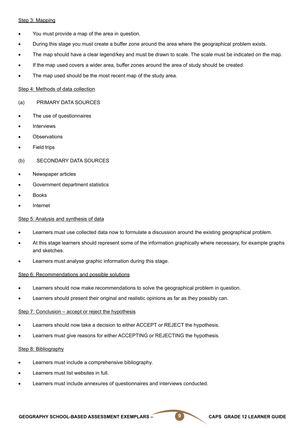#### Step 3: Mapping

- You must provide a map of the area in question.
- During this stage you must create a buffer zone around the area where the geographical problem exists.
- The map should have a clear legend/key and must be drawn to scale. The scale must be indicated on the map.
- If the map used covers a wider area, buffer zones around the area of study should be created.
- The map used should be the most recent map of the study area.

#### Step 4: Methods of data collection

#### (a) PRIMARY DATA SOURCES

- The use of questionnaires
- **Interviews**
- **Observations**
- **Field trips**
- (b) SECONDARY DATA SOURCES
- Newspaper articles
- Government department statistics
- **Books**
- **Internet**

#### Step 5: Analysis and synthesis of data

- Learners must use collected data now to formulate a discussion around the existing geographical problem.
- At this stage learners should represent some of the information graphically where necessary, for example graphs and sketches.
- Learners must analyse graphic information during this stage.

#### Step 6: Recommendations and possible solutions

- Learners should now make recommendations to solve the geographical problem in question.
- Learners should present their original and realistic opinions as far as they possibly can.

#### Step 7: Conclusion – accept or reject the hypothesis

- Learners should now take a decision to either ACCEPT or REJECT the hypothesis.
- Learners must give reasons for either ACCEPTING or REJECTING the hypothesis.

#### Step 8: Bibliography

- Learners must include a comprehensive bibliography.
- Learners must list websites in full.
- Learners must include annexures of questionnaires and interviews conducted.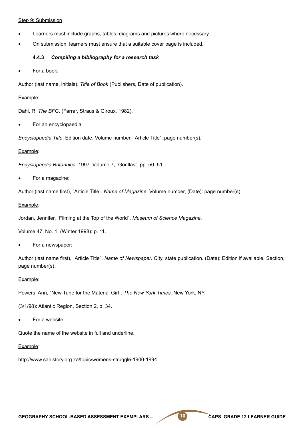#### Step 9: Submission

- Learners must include graphs, tables, diagrams and pictures where necessary.
- On submission, learners must ensure that a suitable cover page is included.

#### **4.4.3** *Compiling a bibliography for a research task*

For a book:

Author (last name, initials). *Title of Book* (Publishers, Date of publication).

#### Example:

Dahl, R. *The BFG*. (Farrar, Straus & Giroux, 1982).

For an encyclopaedia:

*Encyclopaedia Title*, Edition date. Volume number, ˈArticle Titleˈ, page number(s).

#### Example:

*Encyclopaedia Britannica,* 1997. Volume 7, ˈGorillasˈ, pp. 50–51.

For a magazine:

Author (last name first), ˈArticle Titleˈ. *Name of Magazine*. Volume number, (Date): page number(s).

#### Example:

Jordan, Jennifer, ˈFilming at the Top of the Worldˈ. *Museum of Science Magazine*.

Volume 47, No. 1, (Winter 1998): p. 11.

For a newspaper:

Author (last name first), ˈArticle Titleˈ. *Name of Newspaper*. City, state publication. (Date): Edition if available, Section, page number(s).

#### Example:

Powers, Ann, ˈNew Tune for the Material Girlˈ. *The New York Times*. New York, NY.

(3/1/98): Atlantic Region, Section 2, p. 34.

For a website:

Quote the name of the website in full and underline.

#### Example:

http://www.sahistory.org.za/topic/womens-struggle-1900-1994

GEOGRAPHY SCHOOL-BASED ASSESSMENT EXEMPLARS – **10** CAPS GRADE 12 LEARNER GUIDE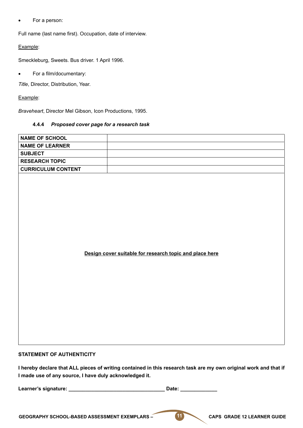• For a person:

Full name (last name first). Occupation, date of interview.

#### Example:

Smeckleburg, Sweets. Bus driver. 1 April 1996.

• For a film/documentary:

*Title*, Director, Distribution, Year.

#### Example:

*Braveheart*, Director Mel Gibson, Icon Productions, 1995.

#### **4.4.4** *Proposed cover page for a research task*

| <b>NAME OF SCHOOL</b>     |                                                         |  |
|---------------------------|---------------------------------------------------------|--|
|                           |                                                         |  |
| <b>NAME OF LEARNER</b>    |                                                         |  |
| <b>SUBJECT</b>            |                                                         |  |
| <b>RESEARCH TOPIC</b>     |                                                         |  |
| <b>CURRICULUM CONTENT</b> |                                                         |  |
|                           | Design cover suitable for research topic and place here |  |

#### **STATEMENT OF AUTHENTICITY**

**I hereby declare that ALL pieces of writing contained in this research task are my own original work and that if I made use of any source, I have duly acknowledged it.** 

**Learner's signature: \_\_\_\_\_\_\_\_\_\_\_\_\_\_\_\_\_\_\_\_\_\_\_\_\_\_\_\_\_\_\_\_\_\_ Date: \_\_\_\_\_\_\_\_\_\_\_\_\_**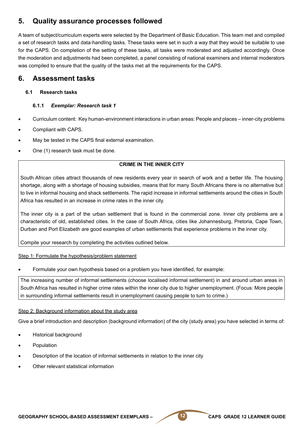# **5. Quality assurance processes followed**

A team of subject/curriculum experts were selected by the Department of Basic Education. This team met and compiled a set of research tasks and data-handling tasks. These tasks were set in such a way that they would be suitable to use for the CAPS. On completion of the setting of these tasks, all tasks were moderated and adjusted accordingly. Once the moderation and adjustments had been completed, a panel consisting of national examiners and internal moderators was compiled to ensure that the quality of the tasks met all the requirements for the CAPS.

# **6. Assessment tasks**

#### **6.1 Research tasks**

#### **6.1.1** *Exemplar: Research task 1*

- Curriculum content: Key human-environment interactions in urban areas: People and places inner-city problems
- Compliant with CAPS.
- May be tested in the CAPS final external examination.
- One (1) research task must be done.

#### **CRIME IN THE INNER CITY**

South African cities attract thousands of new residents every year in search of work and a better life. The housing shortage, along with a shortage of housing subsidies, means that for many South Africans there is no alternative but to live in informal housing and shack settlements. The rapid increase in informal settlements around the cities in South Africa has resulted in an increase in crime rates in the inner city.

The inner city is a part of the urban settlement that is found in the commercial zone. Inner city problems are a characteristic of old, established cities. In the case of South Africa, cities like Johannesburg, Pretoria, Cape Town, Durban and Port Elizabeth are good examples of urban settlements that experience problems in the inner city.

Compile your research by completing the activities outlined below.

#### Step 1: Formulate the hypothesis/problem statement

Formulate your own hypothesis based on a problem you have identified, for example:

The increasing number of informal settlements (choose localised informal settlement) in and around urban areas in South Africa has resulted in higher crime rates within the inner city due to higher unemployment. (Focus: More people in surrounding informal settlements result in unemployment causing people to turn to crime.)

#### Step 2: Background information about the study area

Give a brief introduction and description (background information) of the city (study area) you have selected in terms of:

- **Historical background**
- **Population**
- Description of the location of informal settlements in relation to the inner city
- Other relevant statistical information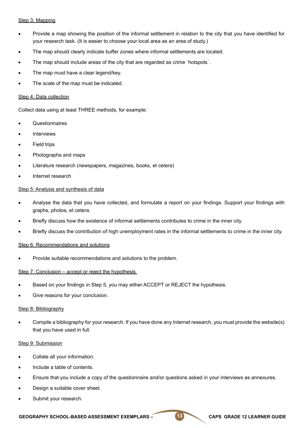#### Step 3: Mapping

- Provide a map showing the position of the informal settlement in relation to the city that you have identified for your research task. (It is easier to choose your local area as an area of study.)
- The map should clearly indicate buffer zones where informal settlements are located.
- The map should include areas of the city that are regarded as crime 'hotspots'.
- The map must have a clear legend/key.
- The scale of the map must be indicated.

#### Step 4: Data collection

Collect data using at least THREE methods, for example:

- **Questionnaires**
- **Interviews**
- Field trips
- Photographs and maps
- Literature research (newspapers, magazines, books, et cetera)
- Internet research

#### Step 5: Analysis and synthesis of data

- Analyse the data that you have collected, and formulate a report on your findings. Support your findings with graphs, photos, et cetera.
- Briefly discuss how the existence of informal settlements contributes to crime in the inner city.
- Briefly discuss the contribution of high unemployment rates in the informal settlements to crime in the inner city.

#### Step 6: Recommendations and solutions

Provide suitable recommendations and solutions to the problem.

#### Step 7: Conclusion – accept or reject the hypothesis

- Based on your findings in Step 5, you may either ACCEPT or REJECT the hypothesis.
- Give reasons for your conclusion.

#### Step 8: Bibliography

Compile a bibliography for your research. If you have done any Internet research, you must provide the website(s) that you have used in full.

#### Step 9: Submission

- Collate all your information.
- Include a table of contents.
- Ensure that you include a copy of the questionnaire and/or questions asked in your interviews as annexures.
- Design a suitable cover sheet.
- Submit your research.

#### GEOGRAPHY SCHOOL-BASED ASSESSMENT EXEMPLARS – 13 CAPS GRADE 12 LEARNER GUIDE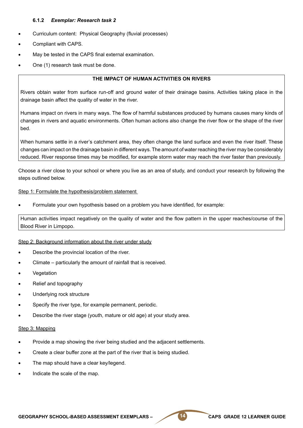#### **6.1.2** *Exemplar: Research task 2*

- Curriculum content: Physical Geography (fluvial processes)
- Compliant with CAPS.
- May be tested in the CAPS final external examination.
- One (1) research task must be done.

#### **THE IMPACT OF HUMAN ACTIVITIES ON RIVERS**

Rivers obtain water from surface run-off and ground water of their drainage basins. Activities taking place in the drainage basin affect the quality of water in the river.

Humans impact on rivers in many ways. The flow of harmful substances produced by humans causes many kinds of changes in rivers and aquatic environments. Often human actions also change the river flow or the shape of the river bed.

When humans settle in a river's catchment area, they often change the land surface and even the river itself. These changes can impact on the drainage basin in different ways. The amount of water reaching the river may be considerably reduced. River response times may be modified, for example storm water may reach the river faster than previously.

Choose a river close to your school or where you live as an area of study, and conduct your research by following the steps outlined below.

#### Step 1: Formulate the hypothesis/problem statement

Formulate your own hypothesis based on a problem you have identified, for example:

Human activities impact negatively on the quality of water and the flow pattern in the upper reaches/course of the Blood River in Limpopo.

#### Step 2: Background information about the river under study

- Describe the provincial location of the river.
- Climate particularly the amount of rainfall that is received.
- **Vegetation**
- Relief and topography
- Underlying rock structure
- Specify the river type, for example permanent, periodic.
- Describe the river stage (youth, mature or old age) at your study area.

#### Step 3: Mapping

- Provide a map showing the river being studied and the adjacent settlements.
- Create a clear buffer zone at the part of the river that is being studied.
- The map should have a clear key/legend.
- Indicate the scale of the map.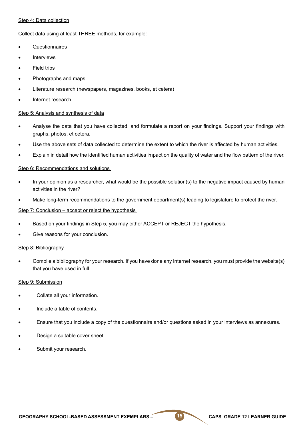#### Step 4: Data collection

Collect data using at least THREE methods, for example:

- **Questionnaires**
- **Interviews**
- **Field trips**
- Photographs and maps
- Literature research (newspapers, magazines, books, et cetera)
- Internet research

#### Step 5: Analysis and synthesis of data

- Analyse the data that you have collected, and formulate a report on your findings. Support your findings with graphs, photos, et cetera.
- Use the above sets of data collected to determine the extent to which the river is affected by human activities.
- Explain in detail how the identified human activities impact on the quality of water and the flow pattern of the river.

#### Step 6: Recommendations and solutions

- In your opinion as a researcher, what would be the possible solution(s) to the negative impact caused by human activities in the river?
- Make long-term recommendations to the government department(s) leading to legislature to protect the river.

#### Step 7: Conclusion – accept or reject the hypothesis

- Based on your findings in Step 5, you may either ACCEPT or REJECT the hypothesis.
- Give reasons for your conclusion.

#### Step 8: Bibliography

Compile a bibliography for your research. If you have done any Internet research, you must provide the website(s) that you have used in full.

#### Step 9: Submission

- Collate all your information.
- Include a table of contents.
- Ensure that you include a copy of the questionnaire and/or questions asked in your interviews as annexures.
- Design a suitable cover sheet.
- Submit your research.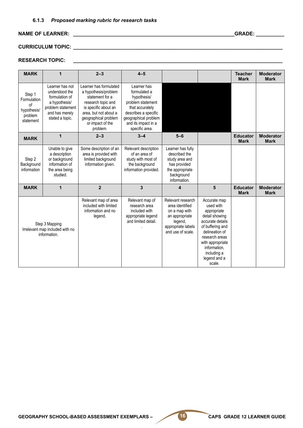#### **6.1.3** *Proposed marking rubric for research tasks*

#### **NAME OF LEARNER: \_\_\_\_\_\_\_\_\_\_\_\_\_\_\_\_\_\_\_\_\_\_\_\_\_\_\_\_\_\_\_\_\_\_\_\_\_\_\_\_\_\_\_\_\_\_\_\_\_\_\_\_\_\_\_\_\_GRADE: \_\_\_\_\_\_\_\_\_\_**

# **CURRICULUM TOPIC: \_\_\_\_\_\_\_\_\_\_\_\_\_\_\_\_\_\_\_\_\_\_\_\_\_\_\_\_\_\_\_\_\_\_\_\_\_\_\_\_\_\_\_\_\_\_\_\_\_\_\_\_\_\_\_\_\_\_\_\_\_\_\_\_\_\_\_\_\_\_\_\_\_\_**

### **RESEARCH TOPIC: \_\_\_\_\_\_\_\_\_\_\_\_\_\_\_\_\_\_\_\_\_\_\_\_\_\_\_\_\_\_\_\_\_\_\_\_\_\_\_\_\_\_\_\_\_\_\_\_\_\_\_\_\_\_\_\_\_\_\_\_\_\_\_\_\_\_\_\_\_\_\_\_\_\_**

| <b>MARK</b>                                                        |                                                                                                                                | $2 - 3$                                                                                                                                                                                          | $4 - 5$                                                                                                                                                                     |                                                                                                                               |                                                                                                                                                                                                                     | <b>Teacher</b><br><b>Mark</b>  | <b>Moderator</b><br><b>Mark</b> |
|--------------------------------------------------------------------|--------------------------------------------------------------------------------------------------------------------------------|--------------------------------------------------------------------------------------------------------------------------------------------------------------------------------------------------|-----------------------------------------------------------------------------------------------------------------------------------------------------------------------------|-------------------------------------------------------------------------------------------------------------------------------|---------------------------------------------------------------------------------------------------------------------------------------------------------------------------------------------------------------------|--------------------------------|---------------------------------|
| Step 1<br>Formulation<br>of<br>hypothesis/<br>problem<br>statement | Learner has not<br>understood the<br>formulation of<br>a hypothesis/<br>problem statement<br>and has merely<br>stated a topic. | Learner has formulated<br>a hypothesis/problem<br>statement for a<br>research topic and<br>is specific about an<br>area, but not about a<br>geographical problem<br>or impact of the<br>problem. | Learner has<br>formulated a<br>hypothesis/<br>problem statement<br>that accurately<br>describes a specific<br>geographical problem<br>and its impact in a<br>specific area. |                                                                                                                               |                                                                                                                                                                                                                     |                                |                                 |
| <b>MARK</b>                                                        | 1                                                                                                                              | $2 - 3$                                                                                                                                                                                          | $3 - 4$                                                                                                                                                                     | $5 - 6$                                                                                                                       |                                                                                                                                                                                                                     | <b>Educator</b><br><b>Mark</b> | <b>Moderator</b><br><b>Mark</b> |
| Step 2<br>Background<br>information                                | Unable to give<br>a description<br>or background<br>information of<br>the area being<br>studied.                               | Some description of an<br>area is provided with<br>limited background<br>information given.                                                                                                      | Relevant description<br>of an area of<br>study with most of<br>the background<br>information provided.                                                                      | Learner has fully<br>described the<br>study area and<br>has provided<br>the appropriate<br>background<br>information.         |                                                                                                                                                                                                                     |                                |                                 |
| <b>MARK</b>                                                        | 1                                                                                                                              | $\overline{2}$                                                                                                                                                                                   | $\overline{\mathbf{3}}$                                                                                                                                                     | $\boldsymbol{4}$                                                                                                              | 5                                                                                                                                                                                                                   | <b>Educator</b><br><b>Mark</b> | <b>Moderator</b><br><b>Mark</b> |
|                                                                    | Step 3 Mapping<br>Irrelevant map included with no<br>information.                                                              | Relevant map of area<br>included with limited<br>information and no<br>legend.                                                                                                                   | Relevant map of<br>research area<br>included with<br>appropriate legend<br>and limited detail.                                                                              | Relevant research<br>area identified<br>on a map with<br>an appropriate<br>legend,<br>appropriate labels<br>and use of scale. | Accurate map<br>used with<br>appropriate<br>detail showing<br>accurate details<br>of buffering and<br>delineation of<br>research areas<br>with appropriate<br>information,<br>including a<br>legend and a<br>scale. |                                |                                 |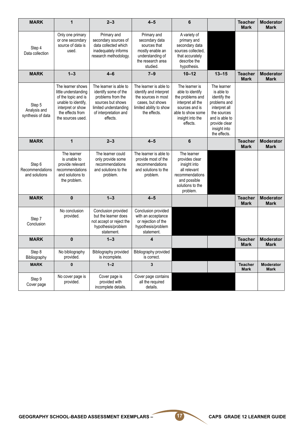| <b>MARK</b>                                 | $\mathbf{1}$                                                                                                                                          | $2 - 3$                                                                                                                                                | $4 - 5$                                                                                                                                | 6                                                                                                                                                  |                                                                                                                                                              | <b>Teacher</b><br><b>Mark</b> | <b>Moderator</b><br><b>Mark</b> |
|---------------------------------------------|-------------------------------------------------------------------------------------------------------------------------------------------------------|--------------------------------------------------------------------------------------------------------------------------------------------------------|----------------------------------------------------------------------------------------------------------------------------------------|----------------------------------------------------------------------------------------------------------------------------------------------------|--------------------------------------------------------------------------------------------------------------------------------------------------------------|-------------------------------|---------------------------------|
| Step 4<br>Data collection                   | Only one primary<br>or one secondary<br>source of data is<br>used.                                                                                    | Primary and<br>secondary sources of<br>data collected which<br>inadequately informs<br>research methodology.                                           | Primary and<br>secondary data<br>sources that<br>mostly enable an<br>understanding of<br>the research area<br>studied.                 | A variety of<br>primary and<br>secondary data<br>sources collected,<br>that accurately<br>describe the<br>hypothesis.                              |                                                                                                                                                              |                               |                                 |
| <b>MARK</b>                                 | $1 - 3$                                                                                                                                               | $4 - 6$                                                                                                                                                | $7 - 9$                                                                                                                                | $10 - 12$                                                                                                                                          | $13 - 15$                                                                                                                                                    | <b>Teacher</b><br><b>Mark</b> | <b>Moderator</b><br><b>Mark</b> |
| Step 5<br>Analysis and<br>synthesis of data | The learner shows<br>little understanding<br>of the topic and is<br>unable to identify,<br>interpret or show<br>the effects from<br>the sources used. | The learner is able to<br>identify some of the<br>problems from the<br>sources but shows<br>limited understanding<br>of interpretation and<br>effects. | The learner is able to<br>identify and interpret<br>the sources in most<br>cases, but shows<br>limited ability to show<br>the effects. | The learner is<br>able to identify<br>the problems and<br>interpret all the<br>sources and is<br>able to show some<br>insight into the<br>effects. | The learner<br>is able to<br>identify the<br>problems and<br>interpret all<br>the sources<br>and is able to<br>provide clear<br>insight into<br>the effects. |                               |                                 |
| <b>MARK</b>                                 | $\mathbf{1}$                                                                                                                                          | $2 - 3$                                                                                                                                                | $4 - 5$                                                                                                                                | $6\phantom{1}$                                                                                                                                     |                                                                                                                                                              | <b>Teacher</b><br><b>Mark</b> | <b>Moderator</b><br><b>Mark</b> |
| Step 6<br>Recommendations<br>and solutions  | The learner<br>is unable to<br>provide relevant<br>recommendations<br>and solutions to<br>the problem.                                                | The learner could<br>only provide some<br>recommendations<br>and solutions to the<br>problem.                                                          | The learner is able to<br>provide most of the<br>recommendations<br>and solutions to the<br>problem.                                   | The learner<br>provides clear<br>insight into<br>all relevant<br>recommendations<br>and possible<br>solutions to the<br>problem.                   |                                                                                                                                                              |                               |                                 |
| <b>MARK</b>                                 | $\mathbf{0}$                                                                                                                                          | $1 - 3$                                                                                                                                                | $4 - 5$                                                                                                                                |                                                                                                                                                    |                                                                                                                                                              | <b>Teacher</b><br><b>Mark</b> | <b>Moderator</b><br>Mark        |
| Step 7<br>Conclusion                        | No conclusion<br>provided.                                                                                                                            | Conclusion provided<br>but the learner does<br>not accept or reject the<br>hypothesis/problem<br>statement.                                            | Conclusion provided<br>with an acceptance<br>or rejection of the<br>hypothesis/problem<br>statement.                                   |                                                                                                                                                    |                                                                                                                                                              |                               |                                 |
| <b>MARK</b>                                 | $\bf{0}$                                                                                                                                              | $1 - 3$                                                                                                                                                | 4                                                                                                                                      |                                                                                                                                                    |                                                                                                                                                              | <b>Teacher</b><br>Mark        | <b>Moderator</b><br>Mark        |
| Step 8<br>Bibliography                      | No bibliography<br>provided.                                                                                                                          | Bibliography provided<br>is incomplete.                                                                                                                | Bibliography provided<br>is correct.                                                                                                   |                                                                                                                                                    |                                                                                                                                                              |                               |                                 |
| <b>MARK</b>                                 | 0                                                                                                                                                     | $1 - 2$                                                                                                                                                | 3                                                                                                                                      |                                                                                                                                                    |                                                                                                                                                              | <b>Teacher</b><br><b>Mark</b> | <b>Moderator</b><br><b>Mark</b> |
| Step 9<br>Cover page                        | No cover page is<br>provided.                                                                                                                         | Cover page is<br>provided with<br>incomplete details.                                                                                                  | Cover page contains<br>all the required<br>details.                                                                                    |                                                                                                                                                    |                                                                                                                                                              |                               |                                 |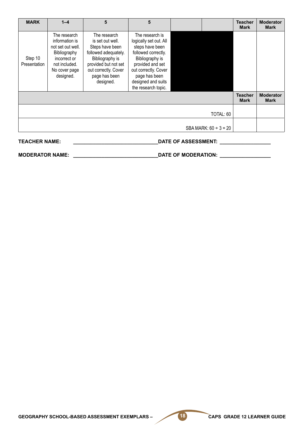| <b>MARK</b>                                        | $1 - 4$                                                                                                                            | 5                                                                                                                                                                            | 5                                                                                                                                                                                                                |  |  | <b>Teacher</b><br><b>Mark</b> | <b>Moderator</b><br><b>Mark</b> |
|----------------------------------------------------|------------------------------------------------------------------------------------------------------------------------------------|------------------------------------------------------------------------------------------------------------------------------------------------------------------------------|------------------------------------------------------------------------------------------------------------------------------------------------------------------------------------------------------------------|--|--|-------------------------------|---------------------------------|
| Step 10<br>Presentation                            | The research<br>information is<br>not set out well.<br>Bibliography<br>incorrect or<br>not included.<br>No cover page<br>designed. | The research<br>is set out well.<br>Steps have been<br>followed adequately.<br>Bibliography is<br>provided but not set<br>out correctly. Cover<br>page has been<br>designed. | The research is<br>logically set out. All<br>steps have been<br>followed correctly.<br>Bibliography is<br>provided and set<br>out correctly. Cover<br>page has been<br>designed and suits<br>the research topic. |  |  |                               |                                 |
|                                                    |                                                                                                                                    |                                                                                                                                                                              |                                                                                                                                                                                                                  |  |  | <b>Teacher</b><br><b>Mark</b> | <b>Moderator</b><br><b>Mark</b> |
| TOTAL: 60                                          |                                                                                                                                    |                                                                                                                                                                              |                                                                                                                                                                                                                  |  |  |                               |                                 |
| SBA MARK: $60 \div 3 = 20$                         |                                                                                                                                    |                                                                                                                                                                              |                                                                                                                                                                                                                  |  |  |                               |                                 |
| <b>TEACHER NAME:</b><br><b>DATE OF ASSESSMENT:</b> |                                                                                                                                    |                                                                                                                                                                              |                                                                                                                                                                                                                  |  |  |                               |                                 |

**MODERATOR NAME: \_\_\_\_\_\_\_\_\_\_\_\_\_\_\_\_\_\_\_\_\_\_\_\_\_\_\_\_\_\_DATE OF MODERATION: \_\_\_\_\_\_\_\_\_\_\_\_\_\_\_\_\_\_**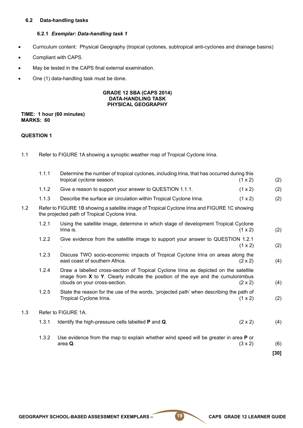#### **6.2 Data-handling tasks**

#### **6.2.1** *Exemplar: Data-handling task 1*

- • Curriculum content: Physical Geography (tropical cyclones, subtropical anti-cyclones and drainage basins)
- Compliant with CAPS.
- May be tested in the CAPS final external examination.
- One (1) data-handling task must be done.

#### **GRADE 12 SBA (CAPS 2014) DATA-HANDLING TASK PHYSICAL GEOGRAPHY**

#### **TIME: 1 hour (60 minutes) MARKS: 60**

#### **QUESTION 1**

1.1 Refer to FIGURE 1A showing a synoptic weather map of Tropical Cyclone Irina.

|     | 1.1.1               | Determine the number of tropical cyclones, including Irina, that has occurred during this<br>tropical cyclone season.<br>(1 x 2)                                                                                                 | (2)    |  |  |  |  |
|-----|---------------------|----------------------------------------------------------------------------------------------------------------------------------------------------------------------------------------------------------------------------------|--------|--|--|--|--|
|     | 1.1.2               | Give a reason to support your answer to QUESTION 1.1.1.<br>(1 x 2)                                                                                                                                                               | (2)    |  |  |  |  |
|     | 1.1.3               | Describe the surface air circulation within Tropical Cyclone Irina.<br>(1 x 2)                                                                                                                                                   | (2)    |  |  |  |  |
| 1.2 |                     | Refer to FIGURE 1B showing a satellite image of Tropical Cyclone Irina and FIGURE 1C showing<br>the projected path of Tropical Cyclone Irina.                                                                                    |        |  |  |  |  |
|     | 1.2.1               | Using the satellite image, determine in which stage of development Tropical Cyclone<br>Irina is.<br>(1 x 2)                                                                                                                      | (2)    |  |  |  |  |
|     | 1.2.2               | Give evidence from the satellite image to support your answer to QUESTION 1.2.1<br>(1 x 2)                                                                                                                                       | (2)    |  |  |  |  |
|     | 1.2.3               | Discuss TWO socio-economic impacts of Tropical Cyclone Irina on areas along the<br>east coast of southern Africa.<br>$(2 \times 2)$                                                                                              | (4)    |  |  |  |  |
|     | 1.2.4               | Draw a labelled cross-section of Tropical Cyclone Irina as depicted on the satellite<br>image from $X$ to $Y$ . Clearly indicate the position of the eye and the cumulonimbus<br>clouds on your cross-section.<br>$(2 \times 2)$ | (4)    |  |  |  |  |
|     | 1.2.5               | State the reason for the use of the words, 'projected path' when describing the path of<br>Tropical Cyclone Irina.<br>(1 x 2)                                                                                                    | (2)    |  |  |  |  |
| 1.3 | Refer to FIGURE 1A. |                                                                                                                                                                                                                                  |        |  |  |  |  |
|     | 1.3.1               | Identify the high-pressure cells labelled <b>P</b> and <b>Q</b> .<br>$(2 \times 2)$                                                                                                                                              | (4)    |  |  |  |  |
|     | 1.3.2               | Use evidence from the map to explain whether wind speed will be greater in area <b>P</b> or                                                                                                                                      |        |  |  |  |  |
|     |                     | area Q.<br>(3 x 2)                                                                                                                                                                                                               | (6)    |  |  |  |  |
|     |                     |                                                                                                                                                                                                                                  | $[30]$ |  |  |  |  |
|     |                     |                                                                                                                                                                                                                                  |        |  |  |  |  |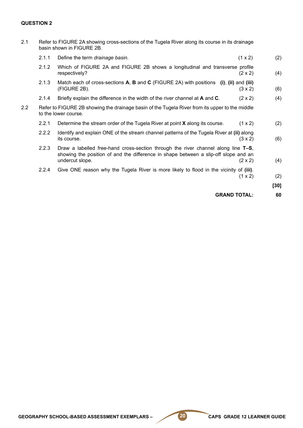#### **QUESTION 2**

| 2.1 | Refer to FIGURE 2A showing cross-sections of the Tugela River along its course in its drainage<br>basin shown in FIGURE 2B. |                                                                                                                                                                                                               |      |  |  |  |  |
|-----|-----------------------------------------------------------------------------------------------------------------------------|---------------------------------------------------------------------------------------------------------------------------------------------------------------------------------------------------------------|------|--|--|--|--|
|     | 2.1.1                                                                                                                       | Define the term drainage basin.<br>(1 x 2)                                                                                                                                                                    | (2)  |  |  |  |  |
|     | 2.1.2                                                                                                                       | Which of FIGURE 2A and FIGURE 2B shows a longitudinal and transverse profile<br>respectively?<br>$(2 \times 2)$                                                                                               | (4)  |  |  |  |  |
|     | 2.1.3                                                                                                                       | Match each of cross-sections $A$ , $B$ and $C$ (FIGURE 2A) with positions<br>$(i)$ , $(ii)$ and $(iii)$<br>(FIGURE 2B).<br>$(3 \times 2)$                                                                     | (6)  |  |  |  |  |
|     | 2.1.4                                                                                                                       | Briefly explain the difference in the width of the river channel at A and C.<br>$(2 \times 2)$                                                                                                                | (4)  |  |  |  |  |
| 2.2 | Refer to FIGURE 2B showing the drainage basin of the Tugela River from its upper to the middle<br>to the lower course.      |                                                                                                                                                                                                               |      |  |  |  |  |
|     | 2.2.1                                                                                                                       | Determine the stream order of the Tugela River at point X along its course.<br>(1 x 2)                                                                                                                        | (2)  |  |  |  |  |
|     | 2.2.2                                                                                                                       | Identify and explain ONE of the stream channel patterns of the Tugela River at (ii) along<br>its course.<br>$(3 \times 2)$                                                                                    | (6)  |  |  |  |  |
|     | 2.2.3                                                                                                                       | Draw a labelled free-hand cross-section through the river channel along line T-S,<br>showing the position of and the difference in shape between a slip-off slope and an<br>undercut slope.<br>$(2 \times 2)$ | (4)  |  |  |  |  |
|     | 2.2.4                                                                                                                       | Give ONE reason why the Tugela River is more likely to flood in the vicinity of (iii).<br>(1 x 2)                                                                                                             | (2)  |  |  |  |  |
|     |                                                                                                                             |                                                                                                                                                                                                               | [30] |  |  |  |  |
|     |                                                                                                                             | <b>GRAND TOTAL:</b>                                                                                                                                                                                           | 60   |  |  |  |  |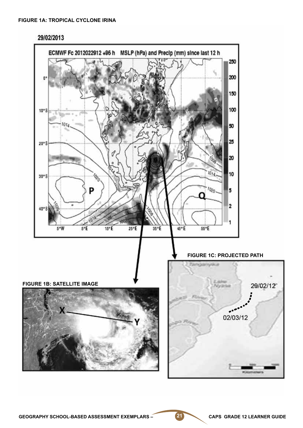

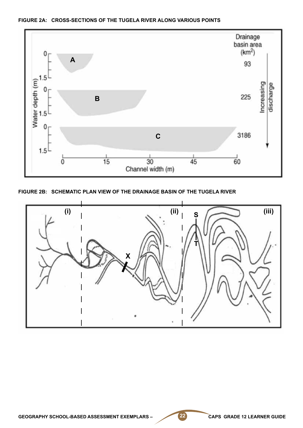

#### **FIGURE 2A: CROSS-SECTIONS OF THE TUGELA RIVER ALONG VARIOUS POINTS**

**FIGURE 2B: SCHEMATIC PLAN VIEW OF THE DRAINAGE BASIN OF THE TUGELA RIVER**

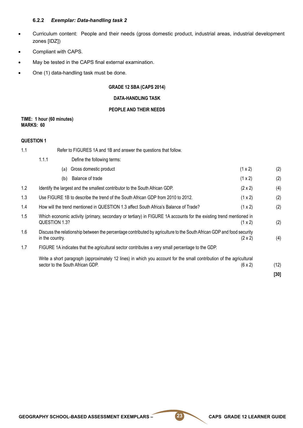#### **6.2.2** *Exemplar: Data-handling task 2*

- • Curriculum content: People and their needs (gross domestic product, industrial areas, industrial development zones [IDZ])
- Compliant with CAPS.
- May be tested in the CAPS final external examination.
- One (1) data-handling task must be done.

#### **GRADE 12 SBA (CAPS 2014)**

#### **DATA-HANDLING TASK**

#### **PEOPLE AND THEIR NEEDS**

#### **TIME: 1 hour (60 minutes) MARKS: 60**

#### **QUESTION 1**

| 1.1 | Refer to FIGURES 1A and 1B and answer the questions that follow.                                                                                           |                |      |  |
|-----|------------------------------------------------------------------------------------------------------------------------------------------------------------|----------------|------|--|
|     | 1.1.1<br>Define the following terms:                                                                                                                       |                |      |  |
|     | Gross domestic product<br>(a)                                                                                                                              | (1 x 2)        | (2)  |  |
|     | Balance of trade<br>(b)                                                                                                                                    | (1 x 2)        | (2)  |  |
| 1.2 | Identify the largest and the smallest contributor to the South African GDP.                                                                                | $(2 \times 2)$ | (4)  |  |
| 1.3 | Use FIGURE 1B to describe the trend of the South African GDP from 2010 to 2012.<br>(1 x 2)                                                                 |                |      |  |
| 1.4 | How will the trend mentioned in QUESTION 1.3 affect South Africa's Balance of Trade?<br>(1 x 2)                                                            |                |      |  |
| 1.5 | Which economic activity (primary, secondary or tertiary) in FIGURE 1A accounts for the existing trend mentioned in<br>QUESTION 1.3?<br>(1 x 2)             |                |      |  |
| 1.6 | Discuss the relationship between the percentage contributed by agriculture to the South African GDP and food security<br>in the country.<br>$(2 \times 2)$ |                |      |  |
| 1.7 | FIGURE 1A indicates that the agricultural sector contributes a very small percentage to the GDP.                                                           |                |      |  |
|     | Write a short paragraph (approximately 12 lines) in which you account for the small contribution of the agricultural<br>sector to the South African GDP.   | $(6 \times 2)$ | (12) |  |
|     |                                                                                                                                                            |                | [30] |  |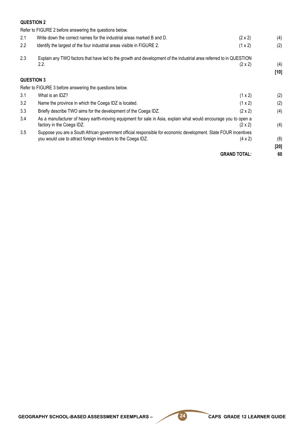#### **QUESTION 2**

Refer to FIGURE 2 before answering the questions below. 2.1 Write down the correct names for the industrial areas marked B and D.  $(2 \times 2)$  (4) 2.2 Identify the largest of the four industrial areas visible in FIGURE 2.  $(1 \times 2)$  (2) 2.3 Explain any TWO factors that have led to the growth and development of the industrial area referred to in QUESTION 2.2. (2 x 2) (4)  $(2 \times 2)$  (5)  $(4)$ **[10] QUESTION 3** Refer to FIGURE 3 before answering the questions below. 3.1 What is an IDZ? (1 x 2) (2) 3.2 Name the province in which the Coega IDZ is located.  $(1 \times 2)$  (2) 3.3 Briefly describe TWO aims for the development of the Coega IDZ. (2 x 2) (4) 3.4 As a manufacturer of heavy earth-moving equipment for sale in Asia, explain what would encourage you to open a factory in the Coega IDZ.  $(2 \times 2)$  (4) 3.5 Suppose you are a South African government official responsible for economic development. State FOUR incentives you would use to attract foreign investors to the Coega IDZ. (4 x 2) (8) **[20] GRAND TOTAL: 60**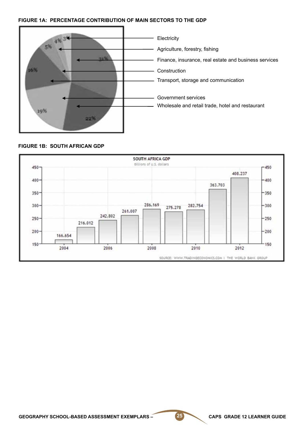#### **FIGURE 1A: PERCENTAGE CONTRIBUTION OF MAIN SECTORS TO THE GDP**



#### **FIGURE 1B: SOUTH AFRICAN GDP**

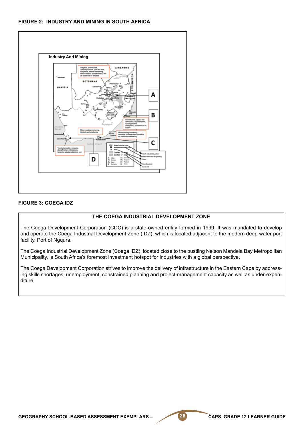#### **FIGURE 2: INDUSTRY AND MINING IN SOUTH AFRICA**



#### **FIGURE 3: COEGA IDZ**

#### **THE COEGA INDUSTRIAL DEVELOPMENT ZONE**

The Coega Development Corporation (CDC) is a state-owned entity formed in 1999. It was mandated to develop and operate the Coega Industrial Development Zone (IDZ), which is located adjacent to the modern deep-water port facility, Port of Ngqura.

The Coega Industrial Development Zone (Coega IDZ), located close to the bustling Nelson Mandela Bay Metropolitan Municipality, is South Africa's foremost investment hotspot for industries with a global perspective.

The Coega Development Corporation strives to improve the delivery of infrastructure in the Eastern Cape by addressing skills shortages, unemployment, constrained planning and project-management capacity as well as under-expenditure.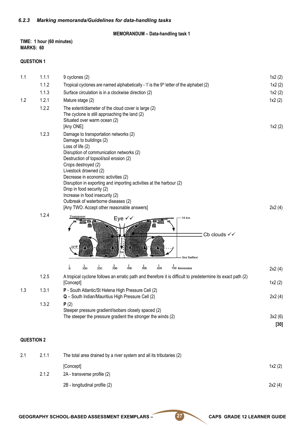#### **MEMORANDUM – Data-handling task 1**

#### **TIME: 1 hour (60 minutes) MARKS: 60**

#### **QUESTION 1**

| 1.1               | 1.1.1 | 9 cyclones (2)                                                                                                                                                                                                                                                                                                                                                                                                                                                                                 | 1x2(2)           |
|-------------------|-------|------------------------------------------------------------------------------------------------------------------------------------------------------------------------------------------------------------------------------------------------------------------------------------------------------------------------------------------------------------------------------------------------------------------------------------------------------------------------------------------------|------------------|
|                   | 1.1.2 | Tropical cyclones are named alphabetically - 'I' is the $9th$ letter of the alphabet (2)                                                                                                                                                                                                                                                                                                                                                                                                       | 1x2(2)           |
|                   | 1.1.3 | Surface circulation is in a clockwise direction (2)                                                                                                                                                                                                                                                                                                                                                                                                                                            | 1x2(2)           |
| 1.2               | 1.2.1 | Mature stage (2)                                                                                                                                                                                                                                                                                                                                                                                                                                                                               | 1x2(2)           |
|                   | 1.2.2 | The extent/diameter of the cloud cover is large (2)<br>The cyclone is still approaching the land (2)<br>Situated over warm ocean (2)<br>[Any ONE]                                                                                                                                                                                                                                                                                                                                              | 1x2(2)           |
|                   | 1.2.3 | Damage to transportation networks (2)<br>Damage to buildings (2)<br>Loss of life (2)<br>Disruption of communication networks (2)<br>Destruction of topsoil/soil erosion (2)<br>Crops destroyed (2)<br>Livestock drowned (2)<br>Decrease in economic activities (2)<br>Disruption in exporting and importing activities at the harbour (2)<br>Drop in food security (2)<br>Increase in food insecurity (2)<br>Outbreak of waterborne diseases (2)<br>[Any TWO. Accept other reasonable answers] | 2x2(4)           |
|                   | 1.2.4 | Tropopause<br>Eye √√<br>14 km<br>Cb clouds √√<br>Sea Surface<br>100<br>600<br>$\frac{1}{500}$<br>$\frac{1}{2}$<br>$\frac{1}{200}$<br>$\frac{1}{300}$<br>$\frac{1}{400}$<br>700 kilometers                                                                                                                                                                                                                                                                                                      | 2x2(4)           |
|                   |       |                                                                                                                                                                                                                                                                                                                                                                                                                                                                                                |                  |
|                   | 1.2.5 | A tropical cyclone follows an erratic path and therefore it is difficult to predetermine its exact path (2)<br>[Concept]                                                                                                                                                                                                                                                                                                                                                                       | 1x2(2)           |
| 1.3               | 1.3.1 | P - South Atlantic/St Helena High Pressure Cell (2)                                                                                                                                                                                                                                                                                                                                                                                                                                            |                  |
|                   |       | Q - South Indian/Mauritius High Pressure Cell (2)                                                                                                                                                                                                                                                                                                                                                                                                                                              | 2x2(4)           |
|                   | 1.3.2 | P(2)<br>Steeper pressure gradient/isobars closely spaced (2)<br>The steeper the pressure gradient the stronger the winds (2)                                                                                                                                                                                                                                                                                                                                                                   | 3x2(6)<br>$[30]$ |
| <b>QUESTION 2</b> |       |                                                                                                                                                                                                                                                                                                                                                                                                                                                                                                |                  |
| 2.1               | 2.1.1 | The total area drained by a river system and all its tributaries (2)                                                                                                                                                                                                                                                                                                                                                                                                                           |                  |

 $[Concept]$   $1x2 (2)$ 

- 2.1.2 2A transverse profile (2) 2B - longitudinal profile (2) 2x2 (4)
	-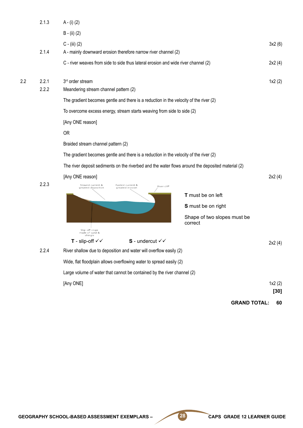|     | 2.1.3          | $A - (i) (2)$                                                                                     |                                        |        |
|-----|----------------|---------------------------------------------------------------------------------------------------|----------------------------------------|--------|
|     |                | $B - (ii) (2)$                                                                                    |                                        |        |
|     | 2.1.4          | $C - (iii) (2)$<br>A - mainly downward erosion therefore narrow river channel (2)                 | 3x2(6)                                 |        |
|     |                | C - river weaves from side to side thus lateral erosion and wide river channel (2)                | 2x2(4)                                 |        |
| 2.2 | 2.2.1<br>2.2.2 | 3 <sup>rd</sup> order stream<br>Meandering stream channel pattern (2)                             | 1x2(2)                                 |        |
|     |                | The gradient becomes gentle and there is a reduction in the velocity of the river (2)             |                                        |        |
|     |                | To overcome excess energy, stream starts weaving from side to side (2)                            |                                        |        |
|     |                | [Any ONE reason]                                                                                  |                                        |        |
|     |                | <b>OR</b>                                                                                         |                                        |        |
|     |                | Braided stream channel pattern (2)                                                                |                                        |        |
|     |                | The gradient becomes gentle and there is a reduction in the velocity of the river (2)             |                                        |        |
|     |                | The river deposit sediments on the riverbed and the water flows around the deposited material (2) |                                        |        |
|     |                | [Any ONE reason]                                                                                  | 2x2(4)                                 |        |
|     | 2.2.3          | Slowest current &<br>Fastest current &<br>River cliff<br>greatest deposition<br>greatest erosion  |                                        |        |
|     |                |                                                                                                   | T must be on left                      |        |
|     |                |                                                                                                   | S must be on right                     |        |
|     |                | Slip-off slope                                                                                    | Shape of two slopes must be<br>correct |        |
|     |                | made of sand &<br>shingle<br>$S$ - undercut $\checkmark$<br>T - slip-off $\checkmark\checkmark$   |                                        |        |
|     | 2.2.4          | River shallow due to deposition and water will overflow easily (2)                                | 2x2(4)                                 |        |
|     |                | Wide, flat floodplain allows overflowing water to spread easily (2)                               |                                        |        |
|     |                | Large volume of water that cannot be contained by the river channel (2)                           |                                        |        |
|     |                | [Any ONE]                                                                                         | 1x2(2)                                 |        |
|     |                |                                                                                                   |                                        | $[30]$ |
|     |                |                                                                                                   | <b>GRAND TOTAL:</b>                    | 60     |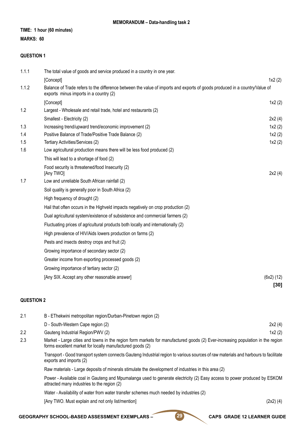#### **TIME: 1 hour (60 minutes)**

#### **MARKS: 60**

#### **QUESTION 1**

| 1.1.1 | The total value of goods and service produced in a country in one year.                                                                                              |            |
|-------|----------------------------------------------------------------------------------------------------------------------------------------------------------------------|------------|
|       | [Concept]                                                                                                                                                            | 1x2(2)     |
| 1.1.2 | Balance of Trade refers to the difference between the value of imports and exports of goods produced in a country/Value of<br>exports minus imports in a country (2) |            |
|       | [Concept]                                                                                                                                                            | 1x2(2)     |
| 1.2   | Largest - Wholesale and retail trade, hotel and restaurants (2)                                                                                                      |            |
|       | Smallest - Electricity (2)                                                                                                                                           | 2x2(4)     |
| 1.3   | Increasing trend/upward trend/economic improvement (2)                                                                                                               | 1x2(2)     |
| 1.4   | Positive Balance of Trade/Positive Trade Balance (2)                                                                                                                 | 1x2(2)     |
| 1.5   | Tertiary Activities/Services (2)                                                                                                                                     | 1x2(2)     |
| 1.6   | Low agricultural production means there will be less food produced (2)                                                                                               |            |
|       | This will lead to a shortage of food (2)                                                                                                                             |            |
|       | Food security is threatened/food Insecurity (2)<br>[Any TWO]                                                                                                         | 2x2(4)     |
| 1.7   | Low and unreliable South African rainfall (2)                                                                                                                        |            |
|       | Soil quality is generally poor in South Africa (2)                                                                                                                   |            |
|       | High frequency of drought (2)                                                                                                                                        |            |
|       | Hail that often occurs in the Highveld impacts negatively on crop production (2)                                                                                     |            |
|       | Dual agricultural system/existence of subsistence and commercial farmers (2)                                                                                         |            |
|       | Fluctuating prices of agricultural products both locally and internationally (2)                                                                                     |            |
|       | High prevalence of HIV/Aids lowers production on farms (2)                                                                                                           |            |
|       | Pests and insects destroy crops and fruit (2)                                                                                                                        |            |
|       | Growing importance of secondary sector (2)                                                                                                                           |            |
|       | Greater income from exporting processed goods (2)                                                                                                                    |            |
|       | Growing importance of tertiary sector (2)                                                                                                                            |            |
|       | [Any SIX. Accept any other reasonable answer]                                                                                                                        | (6x2) (12) |
|       |                                                                                                                                                                      | [30]       |

#### **QUESTION 2**

| 2.1                                                                                                 | B - EThekwini metropolitan region/Durban-Pinetown region (2)                                                                                                                                |        |  |
|-----------------------------------------------------------------------------------------------------|---------------------------------------------------------------------------------------------------------------------------------------------------------------------------------------------|--------|--|
|                                                                                                     | D - South-Western Cape region (2)                                                                                                                                                           | 2x2(4) |  |
| 2.2                                                                                                 | Gauteng Industrial Region/PWV (2)                                                                                                                                                           | 1x2(2) |  |
| 2.3                                                                                                 | Market - Large cities and towns in the region form markets for manufactured goods (2) Ever-increasing population in the region<br>forms excellent market for locally manufactured goods (2) |        |  |
|                                                                                                     | Transport - Good transport system connects Gauteng Industrial region to various sources of raw materials and harbours to facilitate<br>exports and imports (2)                              |        |  |
| Raw materials - Large deposits of minerals stimulate the development of industries in this area (2) |                                                                                                                                                                                             |        |  |

Power - Available coal in Gauteng and Mpumalanga used to generate electricity (2) Easy access to power produced by ESKOM attracted many industries to the region (2)

Water - Availability of water from water transfer schemes much needed by industries (2)

[Any TWO. Must explain and not only list/mention] (2x2) (4)

#### GEOGRAPHY SCHOOL-BASED ASSESSMENT EXEMPLARS – 29 CAPS GRADE 12 LEARNER GUIDE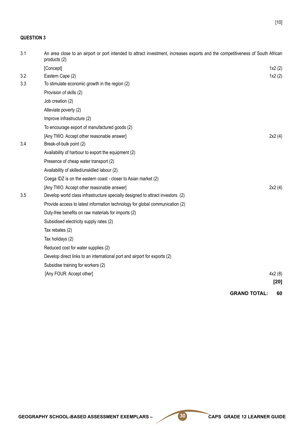#### **QUESTION 3**

| 3.1 | An area close to an airport or port intended to attract investment, increases exports and the competitiveness of South African<br>products (2) |                     |        |
|-----|------------------------------------------------------------------------------------------------------------------------------------------------|---------------------|--------|
|     | [Concept]                                                                                                                                      |                     | 1x2(2) |
| 3.2 | Eastern Cape (2)                                                                                                                               |                     | 1x2(2) |
| 3.3 | To stimulate economic growth in the region (2)                                                                                                 |                     |        |
|     | Provision of skills (2)                                                                                                                        |                     |        |
|     | Job creation (2)                                                                                                                               |                     |        |
|     | Alleviate poverty (2)                                                                                                                          |                     |        |
|     | Improve infrastructure (2)                                                                                                                     |                     |        |
|     | To encourage export of manufactured goods (2)                                                                                                  |                     |        |
|     | [Any TWO. Accept other reasonable answer]                                                                                                      |                     | 2x2(4) |
| 3.4 | Break-of-bulk point (2)                                                                                                                        |                     |        |
|     | Availability of harbour to export the equipment (2)                                                                                            |                     |        |
|     | Presence of cheap water transport (2)                                                                                                          |                     |        |
|     | Availability of skilled/unskilled labour (2)                                                                                                   |                     |        |
|     | Coega IDZ is on the eastern coast - closer to Asian market (2)                                                                                 |                     |        |
|     | [Any TWO. Accept other reasonable answer]                                                                                                      |                     | 2x2(4) |
| 3.5 | Develop world class infrastructure specially designed to attract investors (2)                                                                 |                     |        |
|     | Provide access to latest information technology for global communication (2)                                                                   |                     |        |
|     | Duty-free benefits on raw materials for imports (2)                                                                                            |                     |        |
|     | Subsidised electricity supply rates (2)                                                                                                        |                     |        |
|     | Tax rebates (2)                                                                                                                                |                     |        |
|     | Tax holidays (2)                                                                                                                               |                     |        |
|     | Reduced cost for water supplies (2)                                                                                                            |                     |        |
|     | Develop direct links to an international port and airport for exports (2)                                                                      |                     |        |
|     | Subsidise training for workers (2)                                                                                                             |                     |        |
|     | [Any FOUR. Accept other]                                                                                                                       |                     | 4x2(8) |
|     |                                                                                                                                                |                     | $[20]$ |
|     |                                                                                                                                                | <b>GRAND TOTAL:</b> | 60     |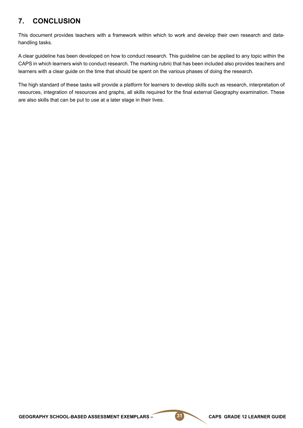# **7. CONCLUSION**

This document provides teachers with a framework within which to work and develop their own research and datahandling tasks.

A clear guideline has been developed on how to conduct research. This guideline can be applied to any topic within the CAPS in which learners wish to conduct research. The marking rubric that has been included also provides teachers and learners with a clear guide on the time that should be spent on the various phases of doing the research.

The high standard of these tasks will provide a platform for learners to develop skills such as research, interpretation of resources, integration of resources and graphs, all skills required for the final external Geography examination. These are also skills that can be put to use at a later stage in their lives.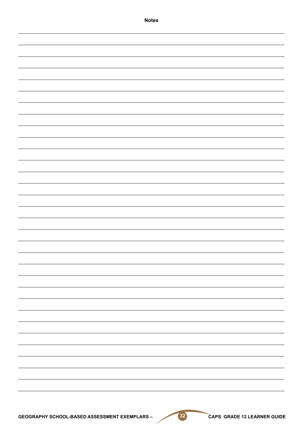| <b>Notes</b>                                  |
|-----------------------------------------------|
|                                               |
|                                               |
|                                               |
|                                               |
|                                               |
|                                               |
|                                               |
|                                               |
|                                               |
|                                               |
|                                               |
|                                               |
|                                               |
|                                               |
|                                               |
|                                               |
|                                               |
|                                               |
|                                               |
|                                               |
|                                               |
|                                               |
|                                               |
|                                               |
|                                               |
|                                               |
|                                               |
|                                               |
|                                               |
|                                               |
|                                               |
|                                               |
|                                               |
|                                               |
|                                               |
|                                               |
|                                               |
|                                               |
|                                               |
|                                               |
|                                               |
| $(32)$<br>CAPS GRADE 12 LEARNER GUIDE         |
| GEOGRAPHY SCHOOL-BASED ASSESSMENT EXEMPLARS - |